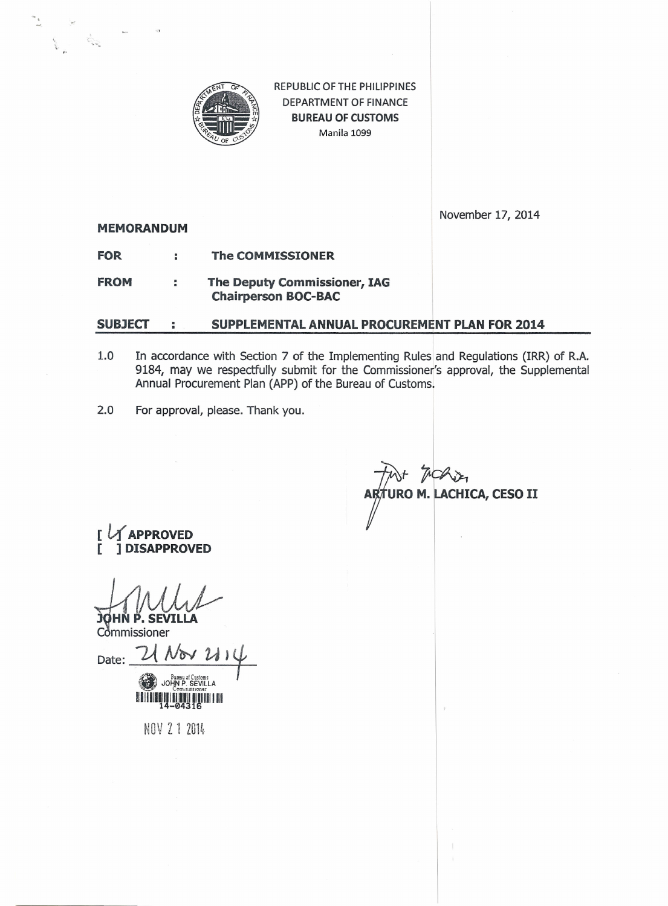

REPUBLIC OF THE PHILIPPINES DEPARTMENT OF FINANCE **BUREAU OF CUSTOMS** Manila 1099

**MEMORANDUM**

November 17, 2014

- **FOR The COMMISSIONER**
- **FROM The Deputy Commissioner, IAG Chairperson BOC-BAC**

## **SUBJECT SUPPLEMENTAL ANNUAL PROCUREMENT PLAN FOR 2014**

- 1.0 In accordance with Section 7 of the Implementing Rules and Regulations (IRR) of R.A. 9184, may we respectfully submit for the Commissioner's approval, the Supplemental Annual Procurement Plan (APP) of the Bureau of Customs.
- 2.0 For approval, please. Thank you.

**10 M. LACHICA, CESO II** 

**PROVED [ ] DISAPPROVED**

**HN P. SEVILLA**

Commissioner Date:  $U_{\text{Wov}}$   $U_{\text{N}}$ JOHN P. SEVILLA

11111111111111111111111111

NOV Z 1 2014